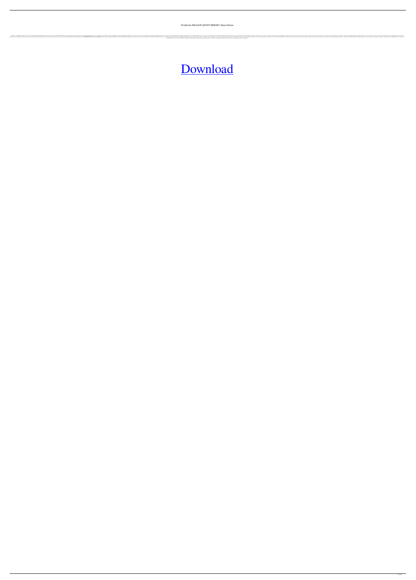Worldwide DRAGON QUEST HEROES: Slime Edition

Guitar Hero series DRAGON QUEST 3: The Seeds of Salvation DRAGON QUEST VII: Fragments of the Forgotten Past DRAGON QUEST X: Joint Alliance Dragon Quest series Dragon Quest series Dragon Quest Heroes is a free-to-play massively multiplayer online role-playing game developed and published by Square Enix. The game is available on the PlayStation 4 and iOS platforms.Dragon Quest Heroes is the first in a series of RPG games for smartphone and tablet devices. An established Japanese series, the games were created by Chunsoft to bridge their market to Western audiences. In order to do this they have included American characters and altered the story to be more suitable for Western audiences. Specifically, the level cap has been increased to 50 and the party size has been reduced to three from five. This allows for the inclusion of new gameplay features that did not make it into past Dragon Quest games. Dragon Quest Heroes is a web game that is free to play with optional in-app purchases for additional items. The game runs primarily on the Unreal Engine, with designs and graphics from Chunsoft.Dragon Quest Heroes was released in Japan in October 2014. It is known in Japan as Shinryaku! Ika Musume Dragon Quest (ドラゴンクエスト イカ獣怪獣, DTIKUDONKO イカ獣怪獣), which is a pun on Shinryaku! Ika Musume . Shinryaku! Ika Musume Dragon Quest is also the Japanese title of the compilation that includes both the Dragon Quest Heroes and Dragon Quest Heroes 2 games. History Dragon Quest Heroes was announced at a press conference on April 1, 2014. The game was released for iOS and Android on January 15, 2015, in Japan. The game was released in Europe on January 29, 2015, and in North America on February 4, 2015, along with its PlayStation 4 counterpart. The game is available to play as part of the free-to-play portion of the game's offering, or as paid items in the game store.Dragon Quest Heroes contains quests that help players level up their characters, as well as a battle system that allows for players to take on monsters and challenging bosses. Characters are divided into three character classes, called heroes, that players will use to advance through the game. The game features a world that is shaped like the Dragon Quest series and that is inhabited by monsters called mystics.

## [Download](http://evacdir.com/caiden/?dimutase=lemurs/urbanlegendsaabout.ntdr&orchids=ZG93bmxvYWR8TmU0WkRjemFueDhNVFkxTlRnME1qazRNWHg4TWpVNU1IeDhLRTBwSUZkdmNtUndjbVZ6Y3lCYldFMU1VbEJESUZZeUlGQkVSbDA/pitched.UVVFU1QgSEVST0VTIFNsaW1lIEVkaXRpb24gQ0QtS2V5UVV)